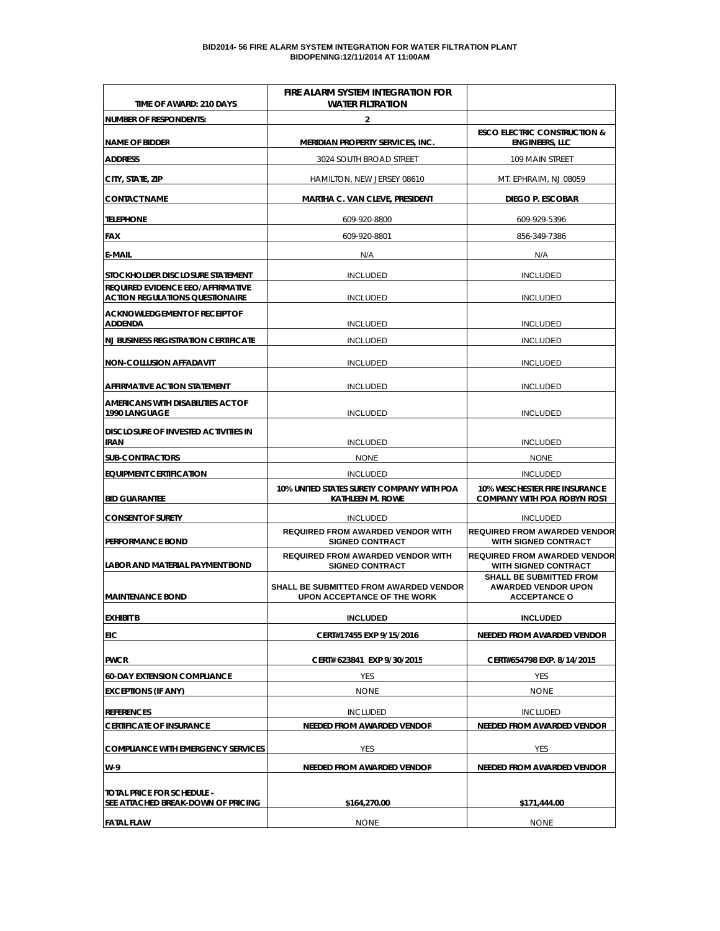#### **BID2014- 56 FIRE ALARM SYSTEM INTEGRATION FOR WATER FILTRATION PLANT BIDOPENING:12/11/2014 AT 11:00AM**

| TIME OF AWARD: 210 DAYS                                                            | FIRE ALARM SYSTEM INTEGRATION FOR<br><b>WATER FILTRATION</b>                 |                                                                                     |  |
|------------------------------------------------------------------------------------|------------------------------------------------------------------------------|-------------------------------------------------------------------------------------|--|
| <b>NUMBER OF RESPONDENTS:</b>                                                      | 2                                                                            |                                                                                     |  |
| NAME OF BIDDER                                                                     | <b>MERIDIAN PROPERTY SERVICES, INC.</b>                                      | <b>ESCO ELECTRIC CONSTRUCTION &amp;</b><br><b>ENGINEERS, LLC</b>                    |  |
| <b>ADDRESS</b>                                                                     | 3024 SOUTH BROAD STREET                                                      | 109 MAIN STREET                                                                     |  |
| CITY, STATE, ZIP                                                                   | HAMILTON, NEW JERSEY 08610                                                   | MT. EPHRAIM, NJ 08059                                                               |  |
| <b>CONTACT NAME</b>                                                                | <b>MARTHA C. VAN CLEVE, PRESIDENT</b>                                        | <b>DIEGO P. ESCOBAR</b>                                                             |  |
| <b>TELEPHONE</b>                                                                   | 609-920-8800                                                                 | 609-929-5396                                                                        |  |
| <b>FAX</b>                                                                         | 609-920-8801                                                                 | 856-349-7386                                                                        |  |
| <b>E-MAIL</b>                                                                      | N/A                                                                          | N/A                                                                                 |  |
| STOCKHOLDER DISCLOSURE STATEMENT                                                   | <b>INCLUDED</b>                                                              | <b>INCLUDED</b>                                                                     |  |
| <b>REQUIRED EVIDENCE EEO/AFFIRMATIVE</b><br><b>ACTION REGULATIONS QUESTIONAIRE</b> | <b>INCLUDED</b>                                                              | <b>INCLUDED</b>                                                                     |  |
| <b>ACKNOWLEDGEMENT OF RECEIPT OF</b><br><b>ADDENDA</b>                             | <b>INCLUDED</b>                                                              | <b>INCLUDED</b>                                                                     |  |
| <b>NJ BUSINESS REGISTRATION CERTIFICATE</b>                                        | <b>INCLUDED</b>                                                              | <b>INCLUDED</b>                                                                     |  |
| <b>NON-COLLUSION AFFADAVIT</b>                                                     | <b>INCLUDED</b>                                                              | <b>INCLUDED</b>                                                                     |  |
| <b>AFFIRMATIVE ACTION STATEMENT</b>                                                | <b>INCLUDED</b>                                                              | <b>INCLUDED</b>                                                                     |  |
| AMERICANS WITH DISABILITIES ACT OF<br>1990 LANGUAGE                                | <b>INCLUDED</b>                                                              | <b>INCLUDED</b>                                                                     |  |
| <b>DISCLOSURE OF INVESTED ACTIVITIES IN</b><br><b>IRAN</b>                         | <b>INCLUDED</b>                                                              | <b>INCLUDED</b>                                                                     |  |
| <b>SUB-CONTRACTORS</b>                                                             | <b>NONE</b>                                                                  | <b>NONE</b>                                                                         |  |
| <b>EQUIPMENT CERTIFICATION</b>                                                     | <b>INCLUDED</b>                                                              | <b>INCLUDED</b>                                                                     |  |
| <b>BID GUARANTEE</b>                                                               | 10% UNITED STATES SURETY COMPANY WITH POA<br><b>KATHLEEN M. ROWE</b>         | <b>10% WESCHESTER FIRE INSURANCE</b><br><b>COMPANY WITH POA ROBYN ROST</b>          |  |
| <b>CONSENT OF SURETY</b>                                                           | <b>INCLUDED</b>                                                              | <b>INCLUDED</b>                                                                     |  |
| <b>PERFORMANCE BOND</b>                                                            | <b>REQUIRED FROM AWARDED VENDOR WITH</b><br><b>SIGNED CONTRACT</b>           | <b>REQUIRED FROM AWARDED VENDOR</b><br><b>WITH SIGNED CONTRACT</b>                  |  |
| LABOR AND MATERIAL PAYMENT BOND                                                    | <b>REQUIRED FROM AWARDED VENDOR WITH</b><br><b>SIGNED CONTRACT</b>           | <b>REQUIRED FROM AWARDED VENDOR</b><br><b>WITH SIGNED CONTRACT</b>                  |  |
| <b>MAINTENANCE BOND</b>                                                            | <b>SHALL BE SUBMITTED FROM AWARDED VENDOR</b><br>UPON ACCEPTANCE OF THE WORK | <b>SHALL BE SUBMITTED FROM</b><br><b>AWARDED VENDOR UPON</b><br><b>ACCEPTANCE O</b> |  |
| <b>EXHIBIT B</b>                                                                   | <b>INCLUDED</b>                                                              | <b>INCLUDED</b>                                                                     |  |
| EIC                                                                                | CERT#17455 EXP 9/15/2016                                                     | <b>NEEDED FROM AWARDED VENDOR</b>                                                   |  |
| <b>PWCR</b>                                                                        | CERT# 623841 EXP 9/30/2015                                                   | CERT#654798 EXP. 8/14/2015                                                          |  |
| <b>60-DAY EXTENSION COMPLIANCE</b>                                                 | YES                                                                          | YES                                                                                 |  |
| <b>EXCEPTIONS (IF ANY)</b>                                                         | <b>NONE</b>                                                                  | <b>NONE</b>                                                                         |  |
| <b>REFERENCES</b>                                                                  | <b>INCLUDED</b>                                                              | <b>INCLUDED</b>                                                                     |  |
| <b>CERTIFICATE OF INSURANCE</b>                                                    | NEEDED FROM AWARDED VENDOR                                                   | NEEDED FROM AWARDED VENDOR                                                          |  |
| <b>COMPLIANCE WITH EMERGENCY SERVICES</b>                                          | YES                                                                          | YES                                                                                 |  |
| $W-9$                                                                              | NEEDED FROM AWARDED VENDOR                                                   | NEEDED FROM AWARDED VENDOR                                                          |  |
| TOTAL PRICE FOR SCHEDULE -<br>SEE ATTACHED BREAK-DOWN OF PRICING                   | \$164,270.00                                                                 | \$171,444.00                                                                        |  |
| <b>FATAL FLAW</b>                                                                  | <b>NONE</b>                                                                  | <b>NONE</b>                                                                         |  |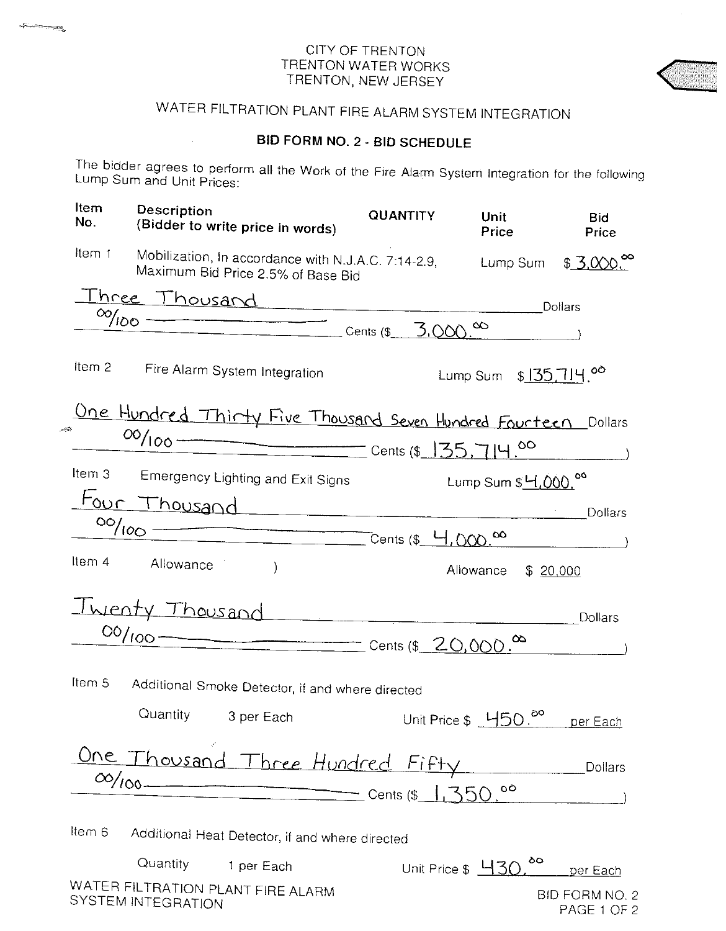$-\infty$ 

# WATER FILTRATION PLANT FIRE ALARM SYSTEM INTEGRATION

## **BID FORM NO. 2 - BID SCHEDULE**

The bidder agrees to perform all the Work of the Fire Alarm System Integration for the following Lump Sum and Unit Prices:

| ltem<br>No.    | <b>Description</b><br>(Bidder to write price in words)                                    | <b>QUANTITY</b> | Unit<br>Price                       | <b>Bid</b><br>Price           |
|----------------|-------------------------------------------------------------------------------------------|-----------------|-------------------------------------|-------------------------------|
| Item 1         | Mobilization, In accordance with N.J.A.C. 7:14-2.9,<br>Maximum Bid Price 2.5% of Base Bid |                 | Lump Sum                            | \$3,000                       |
|                | <u> Three Thousand</u>                                                                    |                 |                                     | Dollars                       |
|                | $\frac{\infty}{\infty}$ Cents (\$ 3.000.00                                                |                 |                                     |                               |
|                |                                                                                           |                 |                                     |                               |
| Item 2         | Fire Alarm System Integration                                                             |                 | Lump Sum $$135.714$ . <sup>00</sup> |                               |
|                | <u>One Hundred Thirty Five Thousard Seven Hundred Fourteen</u> Dollars                    |                 |                                     |                               |
|                |                                                                                           |                 |                                     |                               |
|                |                                                                                           |                 |                                     |                               |
| Item 3         | Emergency Lighting and Exit Signs                                                         |                 | Lump Sum \$ 4,000.00                |                               |
|                | <u>Four Thousand</u>                                                                      |                 |                                     | Dollars                       |
|                | 00/100 Cents (\$ 4,000.00                                                                 |                 |                                     |                               |
|                | Item 4 Allowance                                                                          |                 |                                     |                               |
|                | $\mathcal{E}$                                                                             |                 | Allowance                           | \$20,000                      |
|                | Twenty Thousand                                                                           |                 |                                     |                               |
|                |                                                                                           |                 |                                     | Dollars                       |
|                |                                                                                           |                 | $\infty$                            |                               |
| Item 5         | Additional Smoke Detector, if and where directed                                          |                 |                                     |                               |
|                | Quantity 3 per Each                                                                       |                 | Unit Price \$ 450.                  | per Each                      |
|                | Ine Thousand Three Hundred Fifty                                                          |                 |                                     | Dollars                       |
| $\infty / 100$ | Cents (\$ $1,350$                                                                         |                 | ٥O                                  |                               |
|                |                                                                                           |                 |                                     |                               |
| Item 6         | Additional Heat Detector, if and where directed                                           |                 |                                     |                               |
|                | Quantity 1 per Each                                                                       |                 | ၀၀<br>Unit Price \$ H3C             | per Each                      |
|                | WATER FILTRATION PLANT FIRE ALARM<br>SYSTEM INTEGRATION                                   |                 |                                     | BID FORM NO. 2<br>PAGE 1 OF 2 |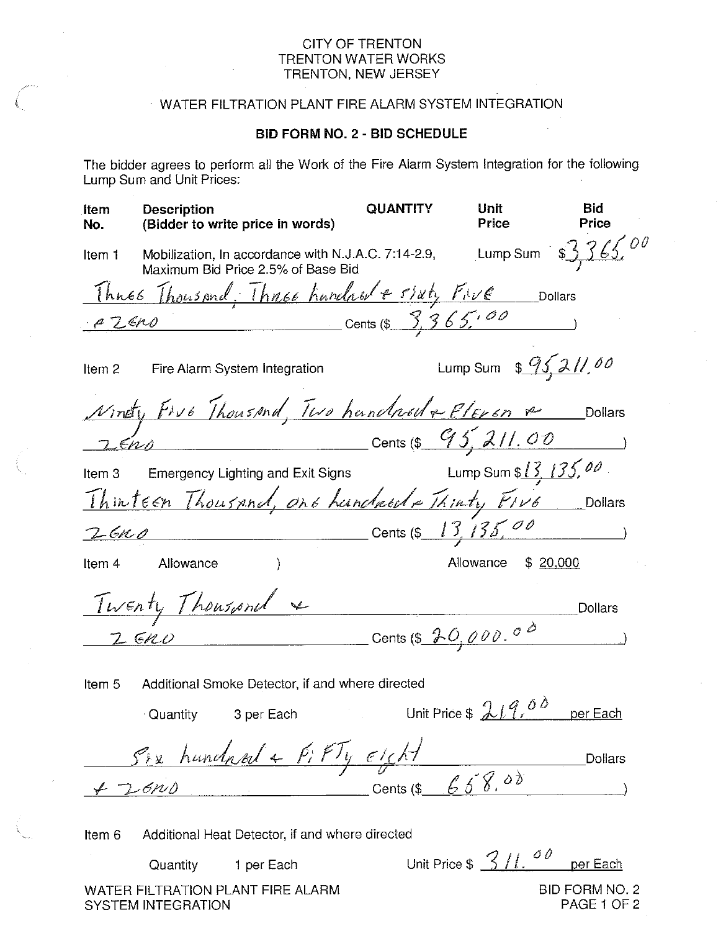#### CITY OF TRENTON TRENTON WATER WORKS TRENTON, NEW JERSEY

## WATER FILTRATION PLANT FIRE ALARM SYSTEM INTEGRATION

### **BID FORM NO. 2 - BID SCHEDULE**

The bidder agrees to perform all the Work of the Fire Alarm System Integration for the following Lump Sum and Unit Prices:

| <b>Item</b><br>No. | <b>Description</b><br>(Bidder to write price in words)                                                         | QUANTITY           | Unit<br>Price                    | Bid<br>Price   |
|--------------------|----------------------------------------------------------------------------------------------------------------|--------------------|----------------------------------|----------------|
| Item 1             | Mobilization, In accordance with N.J.A.C. 7:14-2.9, Lump Sum $$3,365$                                          |                    |                                  |                |
|                    | <u>Thues Thousand, Thuse hundred estaty Five</u> Dollars                                                       |                    |                                  |                |
| PZ6N0              | Cents (\$ $3,365,00$                                                                                           |                    |                                  |                |
| Item 2             | Fire Alarm System Integration                                                                                  |                    | Lump Sum $\frac{95}{211}$ , 00   |                |
|                    | Ninety Five Thousand, Two handwell & Plexen &                                                                  |                    |                                  | Dollars        |
|                    |                                                                                                                |                    |                                  |                |
| Item <sub>3</sub>  | <b>Emergency Lighting and Exit Signs</b>                                                                       |                    | Lump Sum $13, 135, 00$ .         |                |
|                    | Thinteen Thousand, one hundred + Thinty FIVE                                                                   |                    |                                  | Dollars        |
|                    | $2600$ Cents (\$ 13, 135, 00                                                                                   |                    |                                  |                |
|                    | Item 4 Allowance                                                                                               |                    | Allowance<br>\$20,000            |                |
|                    | Twenty Thousand                                                                                                |                    |                                  | <b>Dollars</b> |
|                    | Cents (\$ $70,000.00$<br>$2\,$ GNU                                                                             |                    |                                  |                |
| Item 5             | Additional Smoke Detector, if and where directed                                                               |                    |                                  |                |
|                    | Quantity 3 per Each and the Contract of the Contract of the Contract of the Contract of the Contract of the Co |                    | Unit Price $$219.00$             | per Each       |
|                    | Six hundred + PiFTy eight                                                                                      |                    |                                  | <b>Dollars</b> |
|                    | -6PvD                                                                                                          | Cents (\$ $658.00$ |                                  |                |
| Item 6             | Additional Heat Detector, if and where directed                                                                |                    |                                  |                |
|                    | Quantity<br>1 per Each                                                                                         |                    | Unit Price $$3/l.$ <sup>00</sup> | per Each       |
|                    | WATER FILTRATION PLANT FIRE ALARM                                                                              |                    |                                  | BID FORM NO. 2 |

SYSTEM INTEGRATION

PAGE 1 OF 2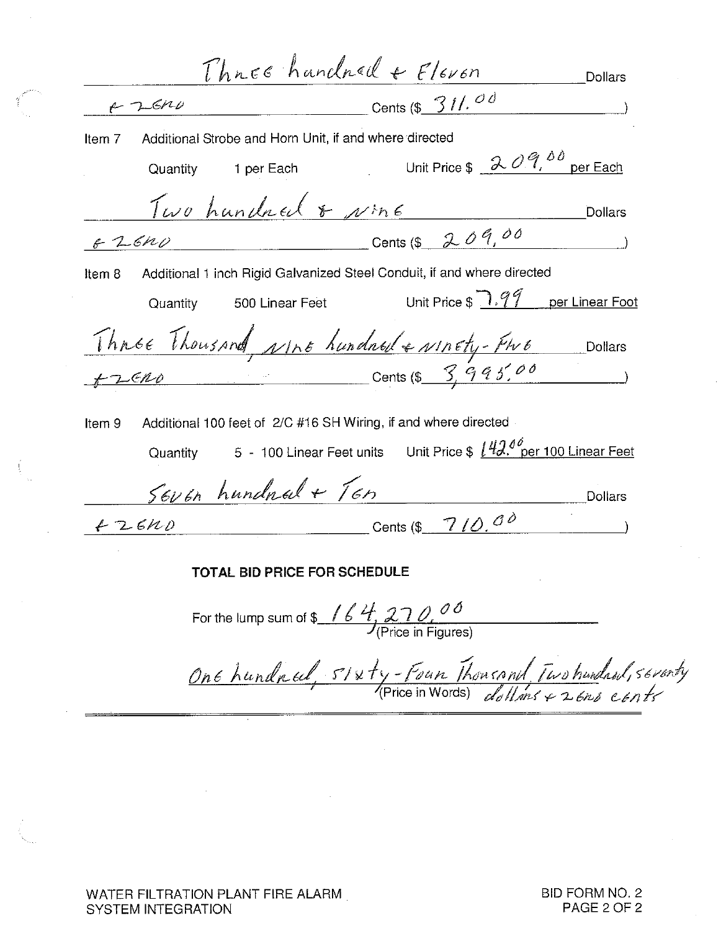$Thres$  handred +  $Flevon$ Dollars Cents (\$  $31/600$  $22600$ Item 7 Additional Strobe and Horn Unit, if and where directed 1 per Each Unit Price  $\oint \frac{\partial \mathcal{Q}}{\partial \theta}$  per Each Quantity Two hundred & NME **Dollars** 6 2 6 1 0 0 cents (\$ 2 0 9,00 Additional 1 inch Rigid Galvanized Steel Conduit, if and where directed Item 8 Unit Price  $\mathbb{R} \setminus \mathbb{R}$  per Linear Foot Quantity 500 Linear Feet Thnse Thousand, Not hundred & Notely-Fwe Dollars<br>FLERO Cents (\$ 3,995.00) Additional 100 feet of 2/C #16 SH Wiring, if and where directed Item 9 5 - 100 Linear Feet units Unit Price \$  $142.0\degree$  per 100 Linear Feet Quantity  $\frac{5606n \text{ hundred} + 16n}{+2640}$ TOTAL BID PRICE FOR SCHEDULE For the lump sum of \$  $164.270.00$ <br>(Price in Figures) One hundred,  $s$ /xty-Four Thousand Two hundred, seventy